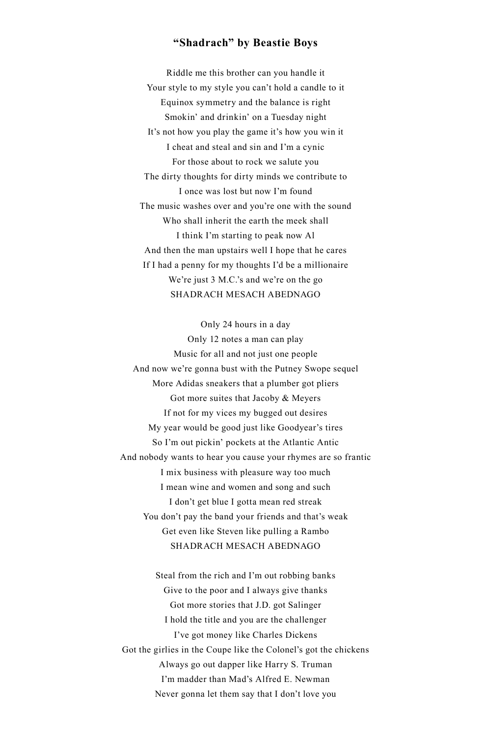## **"Shadrach" by Beastie Boys**

Riddle me this brother can you handle it Your style to my style you can't hold a candle to it Equinox symmetry and the balance is right Smokin' and drinkin' on a Tuesday night It's not how you play the game it's how you win it I cheat and steal and sin and I'm a cynic For those about to rock we salute you The dirty thoughts for dirty minds we contribute to I once was lost but now I'm found The music washes over and you're one with the sound Who shall inherit the earth the meek shall I think I'm starting to peak now Al And then the man upstairs well I hope that he cares If I had a penny for my thoughts I'd be a millionaire We're just 3 M.C.'s and we're on the go SHADRACH MESACH ABEDNAGO

Only 24 hours in a day Only 12 notes a man can play Music for all and not just one people And now we're gonna bust with the Putney Swope sequel More Adidas sneakers that a plumber got pliers Got more suites that Jacoby & Meyers If not for my vices my bugged out desires My year would be good just like Goodyear's tires So I'm out pickin' pockets at the Atlantic Antic And nobody wants to hear you cause your rhymes are so frantic I mix business with pleasure way too much I mean wine and women and song and such I don't get blue I gotta mean red streak You don't pay the band your friends and that's weak Get even like Steven like pulling a Rambo SHADRACH MESACH ABEDNAGO

Steal from the rich and I'm out robbing banks Give to the poor and I always give thanks Got more stories that J.D. got Salinger I hold the title and you are the challenger I've got money like Charles Dickens Got the girlies in the Coupe like the Colonel's got the chickens Always go out dapper like Harry S. Truman I'm madder than Mad's Alfred E. Newman Never gonna let them say that I don't love you